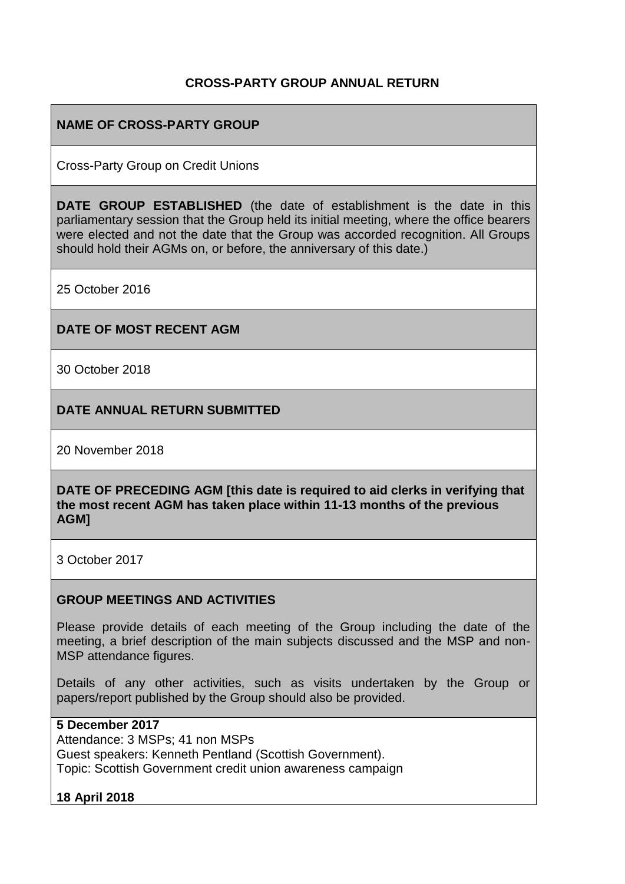# **CROSS-PARTY GROUP ANNUAL RETURN**

# **NAME OF CROSS-PARTY GROUP**

Cross-Party Group on Credit Unions

**DATE GROUP ESTABLISHED** (the date of establishment is the date in this parliamentary session that the Group held its initial meeting, where the office bearers were elected and not the date that the Group was accorded recognition. All Groups should hold their AGMs on, or before, the anniversary of this date.)

25 October 2016

#### **DATE OF MOST RECENT AGM**

30 October 2018

**DATE ANNUAL RETURN SUBMITTED**

20 November 2018

**DATE OF PRECEDING AGM [this date is required to aid clerks in verifying that the most recent AGM has taken place within 11-13 months of the previous AGM]**

3 October 2017

#### **GROUP MEETINGS AND ACTIVITIES**

Please provide details of each meeting of the Group including the date of the meeting, a brief description of the main subjects discussed and the MSP and non-MSP attendance figures.

Details of any other activities, such as visits undertaken by the Group or papers/report published by the Group should also be provided.

#### **5 December 2017**

Attendance: 3 MSPs; 41 non MSPs Guest speakers: Kenneth Pentland (Scottish Government). Topic: Scottish Government credit union awareness campaign

### **18 April 2018**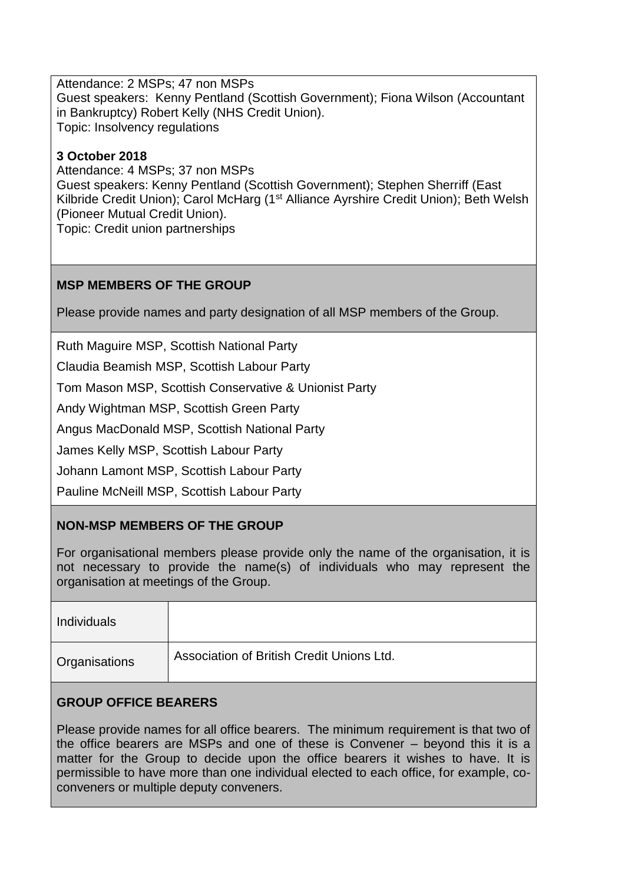Attendance: 2 MSPs; 47 non MSPs Guest speakers: Kenny Pentland (Scottish Government); Fiona Wilson (Accountant in Bankruptcy) Robert Kelly (NHS Credit Union). Topic: Insolvency regulations

## **3 October 2018**

Attendance: 4 MSPs; 37 non MSPs Guest speakers: Kenny Pentland (Scottish Government); Stephen Sherriff (East Kilbride Credit Union); Carol McHarg (1<sup>st</sup> Alliance Ayrshire Credit Union); Beth Welsh (Pioneer Mutual Credit Union). Topic: Credit union partnerships

# **MSP MEMBERS OF THE GROUP**

Please provide names and party designation of all MSP members of the Group.

Ruth Maguire MSP, Scottish National Party

Claudia Beamish MSP, Scottish Labour Party

Tom Mason MSP, Scottish Conservative & Unionist Party

Andy Wightman MSP, Scottish Green Party

Angus MacDonald MSP, Scottish National Party

James Kelly MSP, Scottish Labour Party

Johann Lamont MSP, Scottish Labour Party

Pauline McNeill MSP, Scottish Labour Party

### **NON-MSP MEMBERS OF THE GROUP**

For organisational members please provide only the name of the organisation, it is not necessary to provide the name(s) of individuals who may represent the organisation at meetings of the Group.

| <b>Individuals</b> |                                           |
|--------------------|-------------------------------------------|
| Organisations      | Association of British Credit Unions Ltd. |

### **GROUP OFFICE BEARERS**

Please provide names for all office bearers. The minimum requirement is that two of the office bearers are MSPs and one of these is Convener – beyond this it is a matter for the Group to decide upon the office bearers it wishes to have. It is permissible to have more than one individual elected to each office, for example, coconveners or multiple deputy conveners.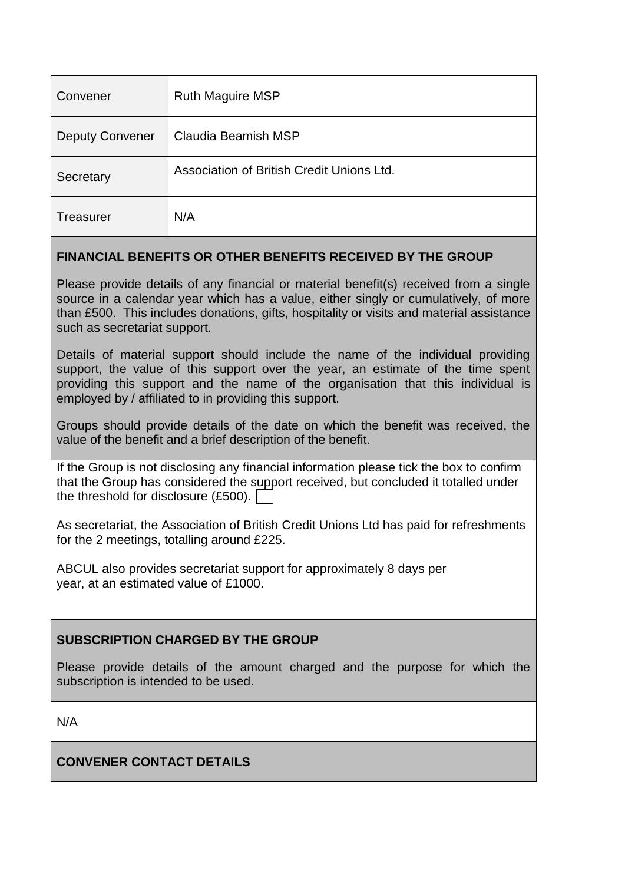| Convener               | <b>Ruth Maguire MSP</b>                   |
|------------------------|-------------------------------------------|
| <b>Deputy Convener</b> | Claudia Beamish MSP                       |
| Secretary              | Association of British Credit Unions Ltd. |
| <b>Treasurer</b>       | N/A                                       |

### **FINANCIAL BENEFITS OR OTHER BENEFITS RECEIVED BY THE GROUP**

Please provide details of any financial or material benefit(s) received from a single source in a calendar year which has a value, either singly or cumulatively, of more than £500. This includes donations, gifts, hospitality or visits and material assistance such as secretariat support.

Details of material support should include the name of the individual providing support, the value of this support over the year, an estimate of the time spent providing this support and the name of the organisation that this individual is employed by / affiliated to in providing this support.

Groups should provide details of the date on which the benefit was received, the value of the benefit and a brief description of the benefit.

If the Group is not disclosing any financial information please tick the box to confirm that the Group has considered the support received, but concluded it totalled under the threshold for disclosure (£500).

As secretariat, the Association of British Credit Unions Ltd has paid for refreshments for the 2 meetings, totalling around £225.

ABCUL also provides secretariat support for approximately 8 days per year, at an estimated value of £1000.

# **SUBSCRIPTION CHARGED BY THE GROUP**

Please provide details of the amount charged and the purpose for which the subscription is intended to be used.

N/A

# **CONVENER CONTACT DETAILS**